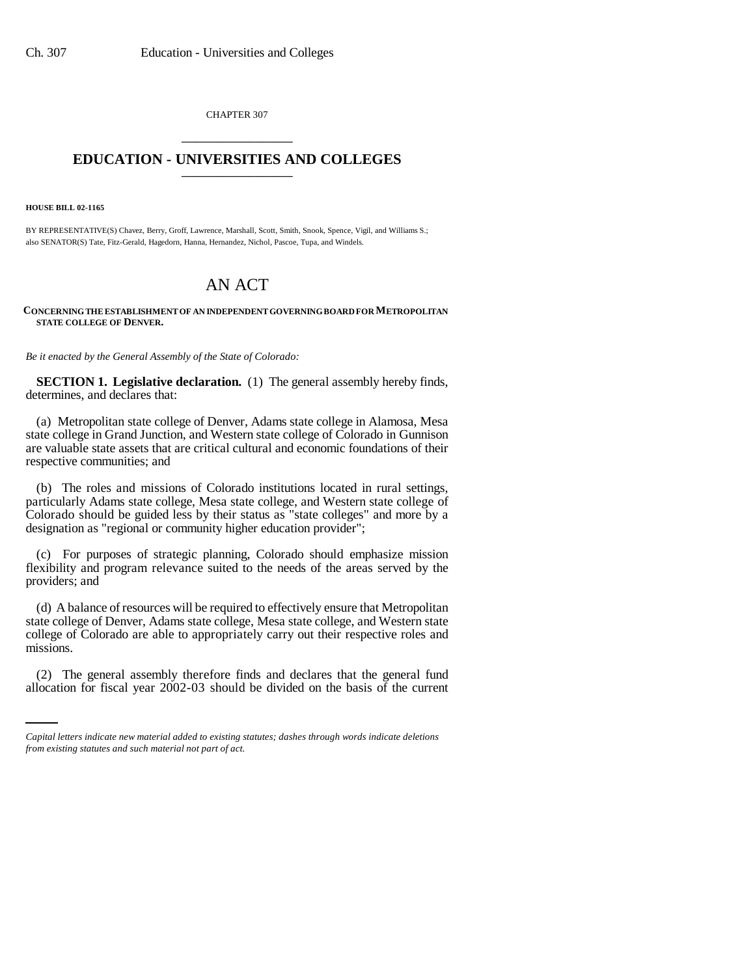CHAPTER 307 \_\_\_\_\_\_\_\_\_\_\_\_\_\_\_

## **EDUCATION - UNIVERSITIES AND COLLEGES** \_\_\_\_\_\_\_\_\_\_\_\_\_\_\_

**HOUSE BILL 02-1165**

BY REPRESENTATIVE(S) Chavez, Berry, Groff, Lawrence, Marshall, Scott, Smith, Snook, Spence, Vigil, and Williams S.; also SENATOR(S) Tate, Fitz-Gerald, Hagedorn, Hanna, Hernandez, Nichol, Pascoe, Tupa, and Windels.

# AN ACT

## **CONCERNING THE ESTABLISHMENT OF AN INDEPENDENT GOVERNING BOARD FOR METROPOLITAN STATE COLLEGE OF DENVER.**

*Be it enacted by the General Assembly of the State of Colorado:*

**SECTION 1. Legislative declaration.** (1) The general assembly hereby finds, determines, and declares that:

(a) Metropolitan state college of Denver, Adams state college in Alamosa, Mesa state college in Grand Junction, and Western state college of Colorado in Gunnison are valuable state assets that are critical cultural and economic foundations of their respective communities; and

(b) The roles and missions of Colorado institutions located in rural settings, particularly Adams state college, Mesa state college, and Western state college of Colorado should be guided less by their status as "state colleges" and more by a designation as "regional or community higher education provider";

(c) For purposes of strategic planning, Colorado should emphasize mission flexibility and program relevance suited to the needs of the areas served by the providers; and

(d) A balance of resources will be required to effectively ensure that Metropolitan state college of Denver, Adams state college, Mesa state college, and Western state college of Colorado are able to appropriately carry out their respective roles and missions.

(2) The general assembly therefore finds and declares that the general fund allocation for fiscal year 2002-03 should be divided on the basis of the current

*Capital letters indicate new material added to existing statutes; dashes through words indicate deletions from existing statutes and such material not part of act.*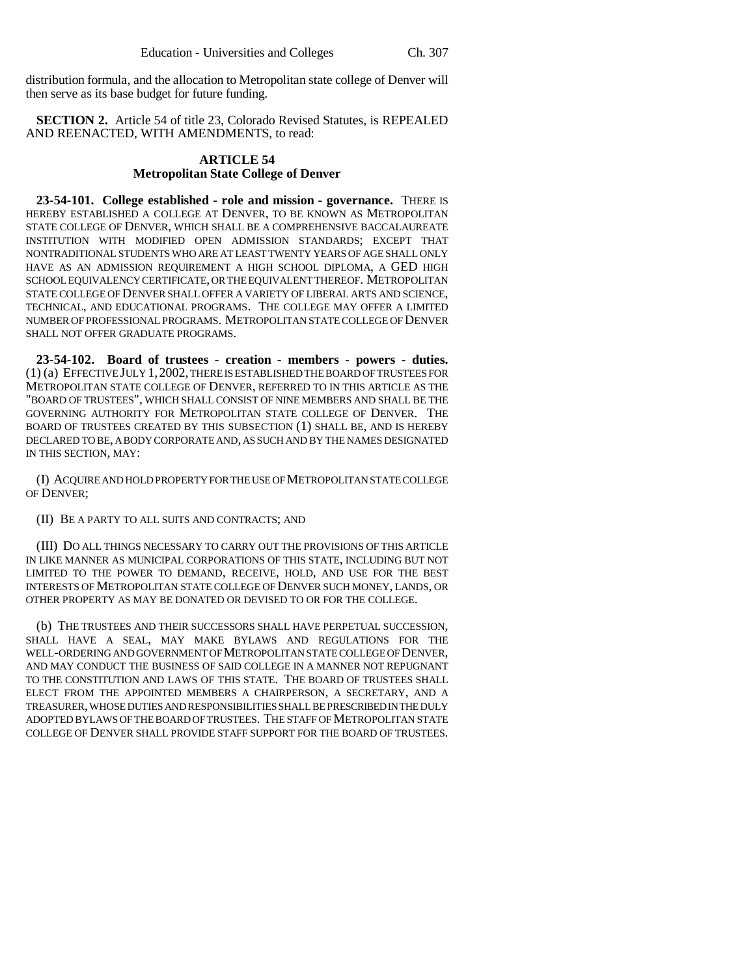distribution formula, and the allocation to Metropolitan state college of Denver will then serve as its base budget for future funding.

**SECTION 2.** Article 54 of title 23, Colorado Revised Statutes, is REPEALED AND REENACTED, WITH AMENDMENTS, to read:

## **ARTICLE 54 Metropolitan State College of Denver**

**23-54-101. College established - role and mission - governance.** THERE IS HEREBY ESTABLISHED A COLLEGE AT DENVER, TO BE KNOWN AS METROPOLITAN STATE COLLEGE OF DENVER, WHICH SHALL BE A COMPREHENSIVE BACCALAUREATE INSTITUTION WITH MODIFIED OPEN ADMISSION STANDARDS; EXCEPT THAT NONTRADITIONAL STUDENTS WHO ARE AT LEAST TWENTY YEARS OF AGE SHALL ONLY HAVE AS AN ADMISSION REQUIREMENT A HIGH SCHOOL DIPLOMA, A GED HIGH SCHOOL EQUIVALENCY CERTIFICATE, OR THE EQUIVALENT THEREOF. METROPOLITAN STATE COLLEGE OF DENVER SHALL OFFER A VARIETY OF LIBERAL ARTS AND SCIENCE, TECHNICAL, AND EDUCATIONAL PROGRAMS. THE COLLEGE MAY OFFER A LIMITED NUMBER OF PROFESSIONAL PROGRAMS. METROPOLITAN STATE COLLEGE OF DENVER SHALL NOT OFFER GRADUATE PROGRAMS.

**23-54-102. Board of trustees - creation - members - powers - duties.** (1) (a) EFFECTIVE JULY 1,2002, THERE IS ESTABLISHED THE BOARD OF TRUSTEES FOR METROPOLITAN STATE COLLEGE OF DENVER, REFERRED TO IN THIS ARTICLE AS THE "BOARD OF TRUSTEES", WHICH SHALL CONSIST OF NINE MEMBERS AND SHALL BE THE GOVERNING AUTHORITY FOR METROPOLITAN STATE COLLEGE OF DENVER. THE BOARD OF TRUSTEES CREATED BY THIS SUBSECTION (1) SHALL BE, AND IS HEREBY DECLARED TO BE, A BODY CORPORATE AND, AS SUCH AND BY THE NAMES DESIGNATED IN THIS SECTION, MAY:

(I) ACQUIRE AND HOLD PROPERTY FOR THE USE OF METROPOLITAN STATE COLLEGE OF DENVER;

## (II) BE A PARTY TO ALL SUITS AND CONTRACTS; AND

(III) DO ALL THINGS NECESSARY TO CARRY OUT THE PROVISIONS OF THIS ARTICLE IN LIKE MANNER AS MUNICIPAL CORPORATIONS OF THIS STATE, INCLUDING BUT NOT LIMITED TO THE POWER TO DEMAND, RECEIVE, HOLD, AND USE FOR THE BEST INTERESTS OF METROPOLITAN STATE COLLEGE OF DENVER SUCH MONEY, LANDS, OR OTHER PROPERTY AS MAY BE DONATED OR DEVISED TO OR FOR THE COLLEGE.

(b) THE TRUSTEES AND THEIR SUCCESSORS SHALL HAVE PERPETUAL SUCCESSION, SHALL HAVE A SEAL, MAY MAKE BYLAWS AND REGULATIONS FOR THE WELL-ORDERING AND GOVERNMENT OF METROPOLITAN STATE COLLEGE OF DENVER, AND MAY CONDUCT THE BUSINESS OF SAID COLLEGE IN A MANNER NOT REPUGNANT TO THE CONSTITUTION AND LAWS OF THIS STATE. THE BOARD OF TRUSTEES SHALL ELECT FROM THE APPOINTED MEMBERS A CHAIRPERSON, A SECRETARY, AND A TREASURER, WHOSE DUTIES AND RESPONSIBILITIES SHALL BE PRESCRIBED IN THE DULY ADOPTED BYLAWS OF THE BOARD OF TRUSTEES. THE STAFF OF METROPOLITAN STATE COLLEGE OF DENVER SHALL PROVIDE STAFF SUPPORT FOR THE BOARD OF TRUSTEES.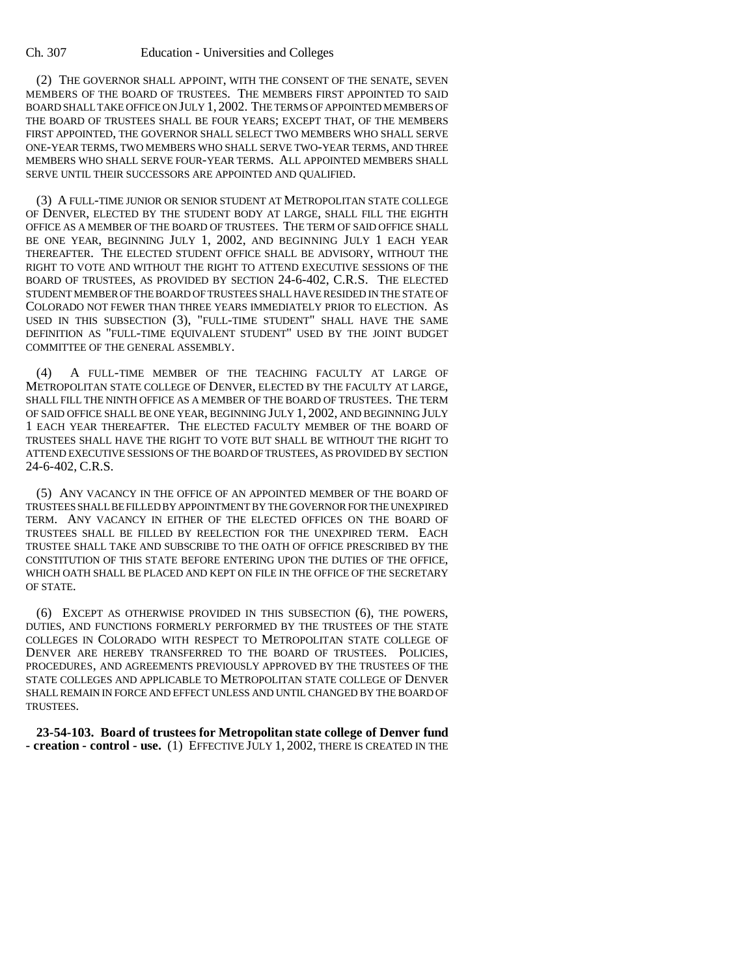#### Ch. 307 Education - Universities and Colleges

(2) THE GOVERNOR SHALL APPOINT, WITH THE CONSENT OF THE SENATE, SEVEN MEMBERS OF THE BOARD OF TRUSTEES. THE MEMBERS FIRST APPOINTED TO SAID BOARD SHALL TAKE OFFICE ON JULY 1, 2002. THE TERMS OF APPOINTED MEMBERS OF THE BOARD OF TRUSTEES SHALL BE FOUR YEARS; EXCEPT THAT, OF THE MEMBERS FIRST APPOINTED, THE GOVERNOR SHALL SELECT TWO MEMBERS WHO SHALL SERVE ONE-YEAR TERMS, TWO MEMBERS WHO SHALL SERVE TWO-YEAR TERMS, AND THREE MEMBERS WHO SHALL SERVE FOUR-YEAR TERMS. ALL APPOINTED MEMBERS SHALL SERVE UNTIL THEIR SUCCESSORS ARE APPOINTED AND QUALIFIED.

(3) A FULL-TIME JUNIOR OR SENIOR STUDENT AT METROPOLITAN STATE COLLEGE OF DENVER, ELECTED BY THE STUDENT BODY AT LARGE, SHALL FILL THE EIGHTH OFFICE AS A MEMBER OF THE BOARD OF TRUSTEES. THE TERM OF SAID OFFICE SHALL BE ONE YEAR, BEGINNING JULY 1, 2002, AND BEGINNING JULY 1 EACH YEAR THEREAFTER. THE ELECTED STUDENT OFFICE SHALL BE ADVISORY, WITHOUT THE RIGHT TO VOTE AND WITHOUT THE RIGHT TO ATTEND EXECUTIVE SESSIONS OF THE BOARD OF TRUSTEES, AS PROVIDED BY SECTION 24-6-402, C.R.S. THE ELECTED STUDENT MEMBER OF THE BOARD OF TRUSTEES SHALL HAVE RESIDED IN THE STATE OF COLORADO NOT FEWER THAN THREE YEARS IMMEDIATELY PRIOR TO ELECTION. AS USED IN THIS SUBSECTION (3), "FULL-TIME STUDENT" SHALL HAVE THE SAME DEFINITION AS "FULL-TIME EQUIVALENT STUDENT" USED BY THE JOINT BUDGET COMMITTEE OF THE GENERAL ASSEMBLY.

(4) A FULL-TIME MEMBER OF THE TEACHING FACULTY AT LARGE OF METROPOLITAN STATE COLLEGE OF DENVER, ELECTED BY THE FACULTY AT LARGE, SHALL FILL THE NINTH OFFICE AS A MEMBER OF THE BOARD OF TRUSTEES. THE TERM OF SAID OFFICE SHALL BE ONE YEAR, BEGINNING JULY 1, 2002, AND BEGINNING JULY 1 EACH YEAR THEREAFTER. THE ELECTED FACULTY MEMBER OF THE BOARD OF TRUSTEES SHALL HAVE THE RIGHT TO VOTE BUT SHALL BE WITHOUT THE RIGHT TO ATTEND EXECUTIVE SESSIONS OF THE BOARD OF TRUSTEES, AS PROVIDED BY SECTION 24-6-402, C.R.S.

(5) ANY VACANCY IN THE OFFICE OF AN APPOINTED MEMBER OF THE BOARD OF TRUSTEES SHALL BE FILLED BY APPOINTMENT BY THE GOVERNOR FOR THE UNEXPIRED TERM. ANY VACANCY IN EITHER OF THE ELECTED OFFICES ON THE BOARD OF TRUSTEES SHALL BE FILLED BY REELECTION FOR THE UNEXPIRED TERM. EACH TRUSTEE SHALL TAKE AND SUBSCRIBE TO THE OATH OF OFFICE PRESCRIBED BY THE CONSTITUTION OF THIS STATE BEFORE ENTERING UPON THE DUTIES OF THE OFFICE, WHICH OATH SHALL BE PLACED AND KEPT ON FILE IN THE OFFICE OF THE SECRETARY OF STATE.

(6) EXCEPT AS OTHERWISE PROVIDED IN THIS SUBSECTION (6), THE POWERS, DUTIES, AND FUNCTIONS FORMERLY PERFORMED BY THE TRUSTEES OF THE STATE COLLEGES IN COLORADO WITH RESPECT TO METROPOLITAN STATE COLLEGE OF DENVER ARE HEREBY TRANSFERRED TO THE BOARD OF TRUSTEES. POLICIES, PROCEDURES, AND AGREEMENTS PREVIOUSLY APPROVED BY THE TRUSTEES OF THE STATE COLLEGES AND APPLICABLE TO METROPOLITAN STATE COLLEGE OF DENVER SHALL REMAIN IN FORCE AND EFFECT UNLESS AND UNTIL CHANGED BY THE BOARD OF TRUSTEES.

**23-54-103. Board of trustees for Metropolitan state college of Denver fund - creation - control - use.** (1) EFFECTIVE JULY 1, 2002, THERE IS CREATED IN THE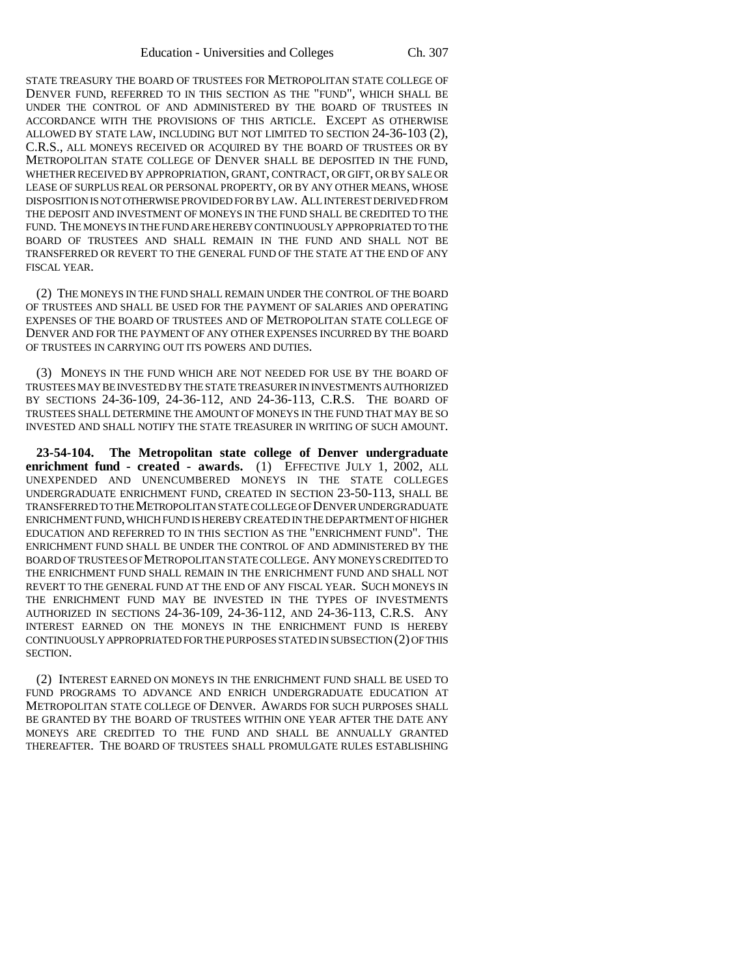STATE TREASURY THE BOARD OF TRUSTEES FOR METROPOLITAN STATE COLLEGE OF DENVER FUND, REFERRED TO IN THIS SECTION AS THE "FUND", WHICH SHALL BE UNDER THE CONTROL OF AND ADMINISTERED BY THE BOARD OF TRUSTEES IN ACCORDANCE WITH THE PROVISIONS OF THIS ARTICLE. EXCEPT AS OTHERWISE ALLOWED BY STATE LAW, INCLUDING BUT NOT LIMITED TO SECTION 24-36-103 (2), C.R.S., ALL MONEYS RECEIVED OR ACQUIRED BY THE BOARD OF TRUSTEES OR BY METROPOLITAN STATE COLLEGE OF DENVER SHALL BE DEPOSITED IN THE FUND, WHETHER RECEIVED BY APPROPRIATION, GRANT, CONTRACT, OR GIFT, OR BY SALE OR LEASE OF SURPLUS REAL OR PERSONAL PROPERTY, OR BY ANY OTHER MEANS, WHOSE DISPOSITION IS NOT OTHERWISE PROVIDED FOR BY LAW. ALL INTEREST DERIVED FROM THE DEPOSIT AND INVESTMENT OF MONEYS IN THE FUND SHALL BE CREDITED TO THE FUND. THE MONEYS IN THE FUND ARE HEREBY CONTINUOUSLY APPROPRIATED TO THE BOARD OF TRUSTEES AND SHALL REMAIN IN THE FUND AND SHALL NOT BE TRANSFERRED OR REVERT TO THE GENERAL FUND OF THE STATE AT THE END OF ANY FISCAL YEAR.

(2) THE MONEYS IN THE FUND SHALL REMAIN UNDER THE CONTROL OF THE BOARD OF TRUSTEES AND SHALL BE USED FOR THE PAYMENT OF SALARIES AND OPERATING EXPENSES OF THE BOARD OF TRUSTEES AND OF METROPOLITAN STATE COLLEGE OF DENVER AND FOR THE PAYMENT OF ANY OTHER EXPENSES INCURRED BY THE BOARD OF TRUSTEES IN CARRYING OUT ITS POWERS AND DUTIES.

(3) MONEYS IN THE FUND WHICH ARE NOT NEEDED FOR USE BY THE BOARD OF TRUSTEES MAY BE INVESTED BY THE STATE TREASURER IN INVESTMENTS AUTHORIZED BY SECTIONS 24-36-109, 24-36-112, AND 24-36-113, C.R.S. THE BOARD OF TRUSTEES SHALL DETERMINE THE AMOUNT OF MONEYS IN THE FUND THAT MAY BE SO INVESTED AND SHALL NOTIFY THE STATE TREASURER IN WRITING OF SUCH AMOUNT.

**23-54-104. The Metropolitan state college of Denver undergraduate enrichment fund - created - awards.** (1) EFFECTIVE JULY 1, 2002, ALL UNEXPENDED AND UNENCUMBERED MONEYS IN THE STATE COLLEGES UNDERGRADUATE ENRICHMENT FUND, CREATED IN SECTION 23-50-113, SHALL BE TRANSFERRED TO THE METROPOLITAN STATE COLLEGE OF DENVER UNDERGRADUATE ENRICHMENT FUND, WHICH FUND IS HEREBY CREATED IN THE DEPARTMENT OF HIGHER EDUCATION AND REFERRED TO IN THIS SECTION AS THE "ENRICHMENT FUND". THE ENRICHMENT FUND SHALL BE UNDER THE CONTROL OF AND ADMINISTERED BY THE BOARD OF TRUSTEES OF METROPOLITAN STATE COLLEGE. ANY MONEYS CREDITED TO THE ENRICHMENT FUND SHALL REMAIN IN THE ENRICHMENT FUND AND SHALL NOT REVERT TO THE GENERAL FUND AT THE END OF ANY FISCAL YEAR. SUCH MONEYS IN THE ENRICHMENT FUND MAY BE INVESTED IN THE TYPES OF INVESTMENTS AUTHORIZED IN SECTIONS 24-36-109, 24-36-112, AND 24-36-113, C.R.S. ANY INTEREST EARNED ON THE MONEYS IN THE ENRICHMENT FUND IS HEREBY CONTINUOUSLY APPROPRIATED FOR THE PURPOSES STATED IN SUBSECTION (2) OF THIS SECTION.

(2) INTEREST EARNED ON MONEYS IN THE ENRICHMENT FUND SHALL BE USED TO FUND PROGRAMS TO ADVANCE AND ENRICH UNDERGRADUATE EDUCATION AT METROPOLITAN STATE COLLEGE OF DENVER. AWARDS FOR SUCH PURPOSES SHALL BE GRANTED BY THE BOARD OF TRUSTEES WITHIN ONE YEAR AFTER THE DATE ANY MONEYS ARE CREDITED TO THE FUND AND SHALL BE ANNUALLY GRANTED THEREAFTER. THE BOARD OF TRUSTEES SHALL PROMULGATE RULES ESTABLISHING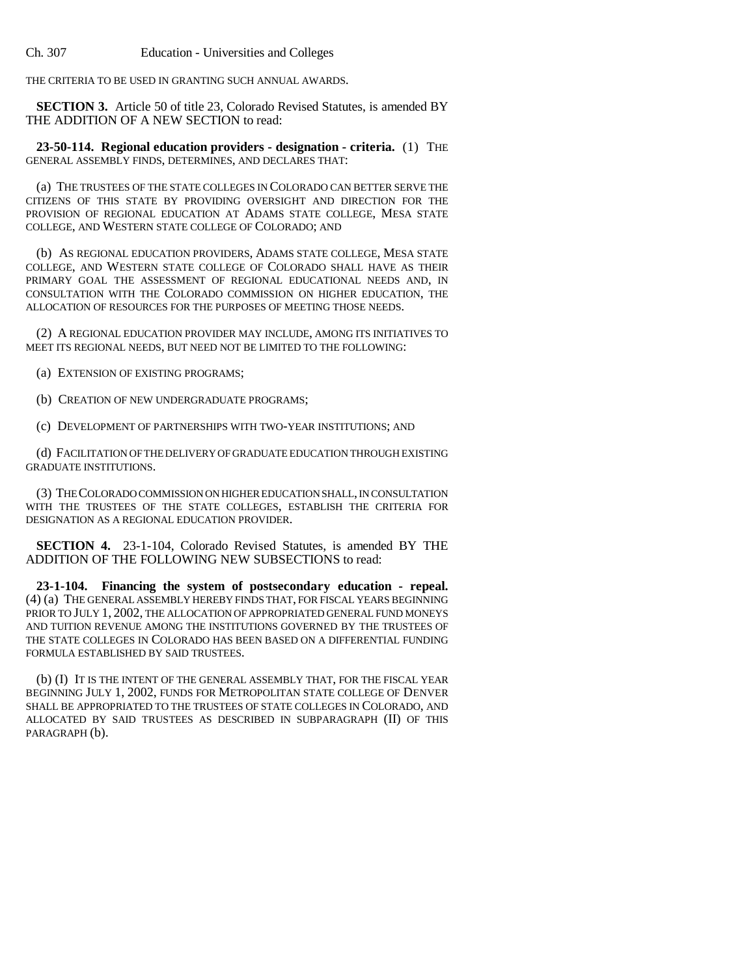Ch. 307 Education - Universities and Colleges

THE CRITERIA TO BE USED IN GRANTING SUCH ANNUAL AWARDS.

**SECTION 3.** Article 50 of title 23, Colorado Revised Statutes, is amended BY THE ADDITION OF A NEW SECTION to read:

**23-50-114. Regional education providers - designation - criteria.** (1) THE GENERAL ASSEMBLY FINDS, DETERMINES, AND DECLARES THAT:

(a) THE TRUSTEES OF THE STATE COLLEGES IN COLORADO CAN BETTER SERVE THE CITIZENS OF THIS STATE BY PROVIDING OVERSIGHT AND DIRECTION FOR THE PROVISION OF REGIONAL EDUCATION AT ADAMS STATE COLLEGE, MESA STATE COLLEGE, AND WESTERN STATE COLLEGE OF COLORADO; AND

(b) AS REGIONAL EDUCATION PROVIDERS, ADAMS STATE COLLEGE, MESA STATE COLLEGE, AND WESTERN STATE COLLEGE OF COLORADO SHALL HAVE AS THEIR PRIMARY GOAL THE ASSESSMENT OF REGIONAL EDUCATIONAL NEEDS AND, IN CONSULTATION WITH THE COLORADO COMMISSION ON HIGHER EDUCATION, THE ALLOCATION OF RESOURCES FOR THE PURPOSES OF MEETING THOSE NEEDS.

(2) A REGIONAL EDUCATION PROVIDER MAY INCLUDE, AMONG ITS INITIATIVES TO MEET ITS REGIONAL NEEDS, BUT NEED NOT BE LIMITED TO THE FOLLOWING:

(a) EXTENSION OF EXISTING PROGRAMS;

(b) CREATION OF NEW UNDERGRADUATE PROGRAMS;

(c) DEVELOPMENT OF PARTNERSHIPS WITH TWO-YEAR INSTITUTIONS; AND

(d) FACILITATION OF THE DELIVERY OF GRADUATE EDUCATION THROUGH EXISTING GRADUATE INSTITUTIONS.

(3) THE COLORADO COMMISSION ON HIGHER EDUCATION SHALL, IN CONSULTATION WITH THE TRUSTEES OF THE STATE COLLEGES, ESTABLISH THE CRITERIA FOR DESIGNATION AS A REGIONAL EDUCATION PROVIDER.

**SECTION 4.** 23-1-104, Colorado Revised Statutes, is amended BY THE ADDITION OF THE FOLLOWING NEW SUBSECTIONS to read:

**23-1-104. Financing the system of postsecondary education - repeal.** (4) (a) THE GENERAL ASSEMBLY HEREBY FINDS THAT, FOR FISCAL YEARS BEGINNING PRIOR TO JULY 1, 2002, THE ALLOCATION OF APPROPRIATED GENERAL FUND MONEYS AND TUITION REVENUE AMONG THE INSTITUTIONS GOVERNED BY THE TRUSTEES OF THE STATE COLLEGES IN COLORADO HAS BEEN BASED ON A DIFFERENTIAL FUNDING FORMULA ESTABLISHED BY SAID TRUSTEES.

(b) (I) IT IS THE INTENT OF THE GENERAL ASSEMBLY THAT, FOR THE FISCAL YEAR BEGINNING JULY 1, 2002, FUNDS FOR METROPOLITAN STATE COLLEGE OF DENVER SHALL BE APPROPRIATED TO THE TRUSTEES OF STATE COLLEGES IN COLORADO, AND ALLOCATED BY SAID TRUSTEES AS DESCRIBED IN SUBPARAGRAPH (II) OF THIS PARAGRAPH (b).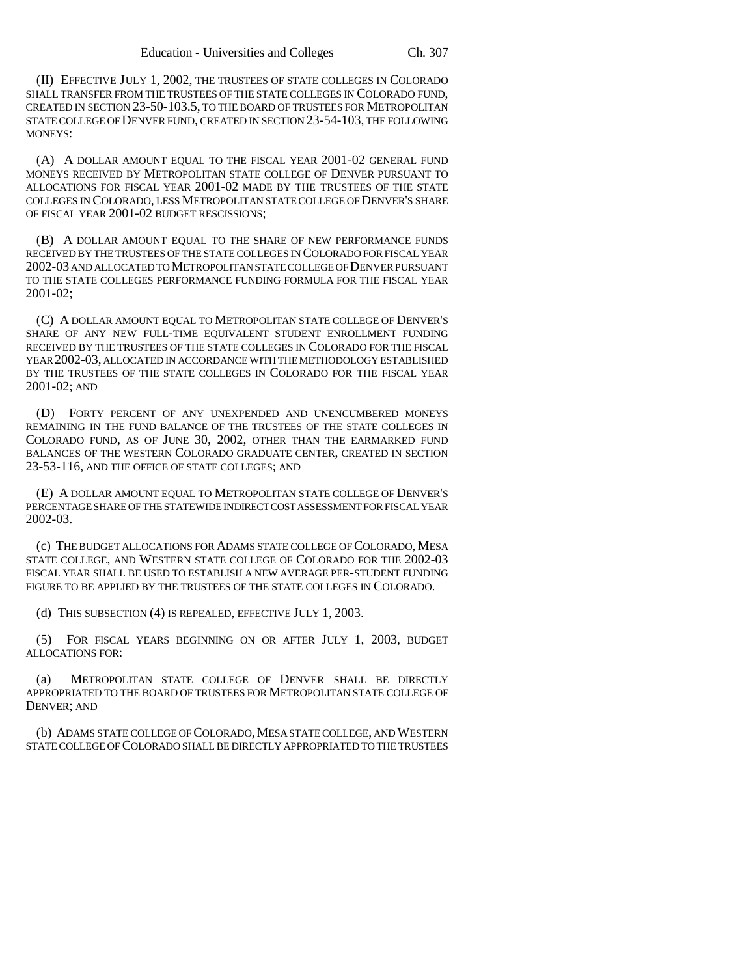(II) EFFECTIVE JULY 1, 2002, THE TRUSTEES OF STATE COLLEGES IN COLORADO SHALL TRANSFER FROM THE TRUSTEES OF THE STATE COLLEGES IN COLORADO FUND, CREATED IN SECTION 23-50-103.5, TO THE BOARD OF TRUSTEES FOR METROPOLITAN STATE COLLEGE OF DENVER FUND, CREATED IN SECTION 23-54-103, THE FOLLOWING MONEYS:

(A) A DOLLAR AMOUNT EQUAL TO THE FISCAL YEAR 2001-02 GENERAL FUND MONEYS RECEIVED BY METROPOLITAN STATE COLLEGE OF DENVER PURSUANT TO ALLOCATIONS FOR FISCAL YEAR 2001-02 MADE BY THE TRUSTEES OF THE STATE COLLEGES IN COLORADO, LESS METROPOLITAN STATE COLLEGE OF DENVER'S SHARE OF FISCAL YEAR 2001-02 BUDGET RESCISSIONS;

(B) A DOLLAR AMOUNT EQUAL TO THE SHARE OF NEW PERFORMANCE FUNDS RECEIVED BY THE TRUSTEES OF THE STATE COLLEGES IN COLORADO FOR FISCAL YEAR 2002-03 AND ALLOCATED TO METROPOLITAN STATE COLLEGE OF DENVER PURSUANT TO THE STATE COLLEGES PERFORMANCE FUNDING FORMULA FOR THE FISCAL YEAR 2001-02;

(C) A DOLLAR AMOUNT EQUAL TO METROPOLITAN STATE COLLEGE OF DENVER'S SHARE OF ANY NEW FULL-TIME EQUIVALENT STUDENT ENROLLMENT FUNDING RECEIVED BY THE TRUSTEES OF THE STATE COLLEGES IN COLORADO FOR THE FISCAL YEAR 2002-03, ALLOCATED IN ACCORDANCE WITH THE METHODOLOGY ESTABLISHED BY THE TRUSTEES OF THE STATE COLLEGES IN COLORADO FOR THE FISCAL YEAR 2001-02; AND

(D) FORTY PERCENT OF ANY UNEXPENDED AND UNENCUMBERED MONEYS REMAINING IN THE FUND BALANCE OF THE TRUSTEES OF THE STATE COLLEGES IN COLORADO FUND, AS OF JUNE 30, 2002, OTHER THAN THE EARMARKED FUND BALANCES OF THE WESTERN COLORADO GRADUATE CENTER, CREATED IN SECTION 23-53-116, AND THE OFFICE OF STATE COLLEGES; AND

(E) A DOLLAR AMOUNT EQUAL TO METROPOLITAN STATE COLLEGE OF DENVER'S PERCENTAGE SHARE OF THE STATEWIDE INDIRECT COST ASSESSMENT FOR FISCAL YEAR 2002-03.

(c) THE BUDGET ALLOCATIONS FOR ADAMS STATE COLLEGE OF COLORADO, MESA STATE COLLEGE, AND WESTERN STATE COLLEGE OF COLORADO FOR THE 2002-03 FISCAL YEAR SHALL BE USED TO ESTABLISH A NEW AVERAGE PER-STUDENT FUNDING FIGURE TO BE APPLIED BY THE TRUSTEES OF THE STATE COLLEGES IN COLORADO.

(d) THIS SUBSECTION (4) IS REPEALED, EFFECTIVE JULY 1, 2003.

(5) FOR FISCAL YEARS BEGINNING ON OR AFTER JULY 1, 2003, BUDGET ALLOCATIONS FOR:

(a) METROPOLITAN STATE COLLEGE OF DENVER SHALL BE DIRECTLY APPROPRIATED TO THE BOARD OF TRUSTEES FOR METROPOLITAN STATE COLLEGE OF DENVER; AND

(b) ADAMS STATE COLLEGE OF COLORADO, MESA STATE COLLEGE, AND WESTERN STATE COLLEGE OF COLORADO SHALL BE DIRECTLY APPROPRIATED TO THE TRUSTEES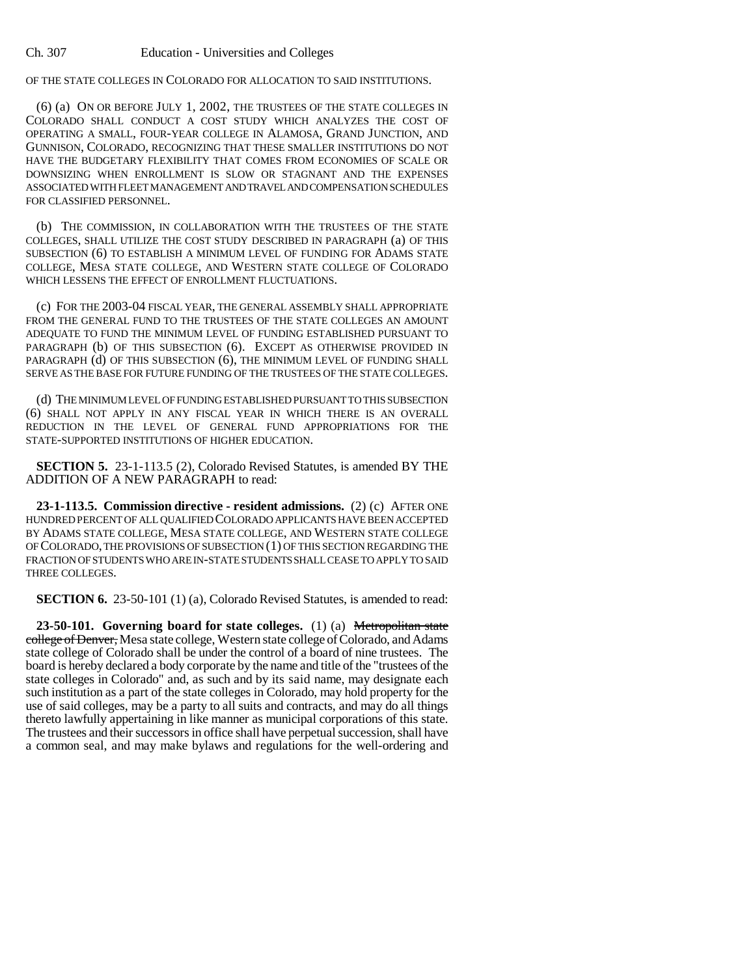OF THE STATE COLLEGES IN COLORADO FOR ALLOCATION TO SAID INSTITUTIONS.

(6) (a) ON OR BEFORE JULY 1, 2002, THE TRUSTEES OF THE STATE COLLEGES IN COLORADO SHALL CONDUCT A COST STUDY WHICH ANALYZES THE COST OF OPERATING A SMALL, FOUR-YEAR COLLEGE IN ALAMOSA, GRAND JUNCTION, AND GUNNISON, COLORADO, RECOGNIZING THAT THESE SMALLER INSTITUTIONS DO NOT HAVE THE BUDGETARY FLEXIBILITY THAT COMES FROM ECONOMIES OF SCALE OR DOWNSIZING WHEN ENROLLMENT IS SLOW OR STAGNANT AND THE EXPENSES ASSOCIATED WITH FLEET MANAGEMENT AND TRAVEL AND COMPENSATION SCHEDULES FOR CLASSIFIED PERSONNEL.

(b) THE COMMISSION, IN COLLABORATION WITH THE TRUSTEES OF THE STATE COLLEGES, SHALL UTILIZE THE COST STUDY DESCRIBED IN PARAGRAPH (a) OF THIS SUBSECTION (6) TO ESTABLISH A MINIMUM LEVEL OF FUNDING FOR ADAMS STATE COLLEGE, MESA STATE COLLEGE, AND WESTERN STATE COLLEGE OF COLORADO WHICH LESSENS THE EFFECT OF ENROLLMENT FLUCTUATIONS.

(c) FOR THE 2003-04 FISCAL YEAR, THE GENERAL ASSEMBLY SHALL APPROPRIATE FROM THE GENERAL FUND TO THE TRUSTEES OF THE STATE COLLEGES AN AMOUNT ADEQUATE TO FUND THE MINIMUM LEVEL OF FUNDING ESTABLISHED PURSUANT TO PARAGRAPH (b) OF THIS SUBSECTION (6). EXCEPT AS OTHERWISE PROVIDED IN PARAGRAPH (d) OF THIS SUBSECTION (6), THE MINIMUM LEVEL OF FUNDING SHALL SERVE AS THE BASE FOR FUTURE FUNDING OF THE TRUSTEES OF THE STATE COLLEGES.

(d) THE MINIMUM LEVEL OF FUNDING ESTABLISHED PURSUANT TO THIS SUBSECTION (6) SHALL NOT APPLY IN ANY FISCAL YEAR IN WHICH THERE IS AN OVERALL REDUCTION IN THE LEVEL OF GENERAL FUND APPROPRIATIONS FOR THE STATE-SUPPORTED INSTITUTIONS OF HIGHER EDUCATION.

**SECTION 5.** 23-1-113.5 (2), Colorado Revised Statutes, is amended BY THE ADDITION OF A NEW PARAGRAPH to read:

**23-1-113.5. Commission directive - resident admissions.** (2) (c) AFTER ONE HUNDRED PERCENT OF ALL QUALIFIED COLORADO APPLICANTS HAVE BEEN ACCEPTED BY ADAMS STATE COLLEGE, MESA STATE COLLEGE, AND WESTERN STATE COLLEGE OF COLORADO, THE PROVISIONS OF SUBSECTION (1) OF THIS SECTION REGARDING THE FRACTION OF STUDENTS WHO ARE IN-STATE STUDENTS SHALL CEASE TO APPLY TO SAID THREE COLLEGES.

**SECTION 6.** 23-50-101 (1) (a), Colorado Revised Statutes, is amended to read:

**23-50-101. Governing board for state colleges.** (1) (a) Metropolitan state college of Denver, Mesa state college, Western state college of Colorado, and Adams state college of Colorado shall be under the control of a board of nine trustees. The board is hereby declared a body corporate by the name and title of the "trustees of the state colleges in Colorado" and, as such and by its said name, may designate each such institution as a part of the state colleges in Colorado, may hold property for the use of said colleges, may be a party to all suits and contracts, and may do all things thereto lawfully appertaining in like manner as municipal corporations of this state. The trustees and their successors in office shall have perpetual succession, shall have a common seal, and may make bylaws and regulations for the well-ordering and